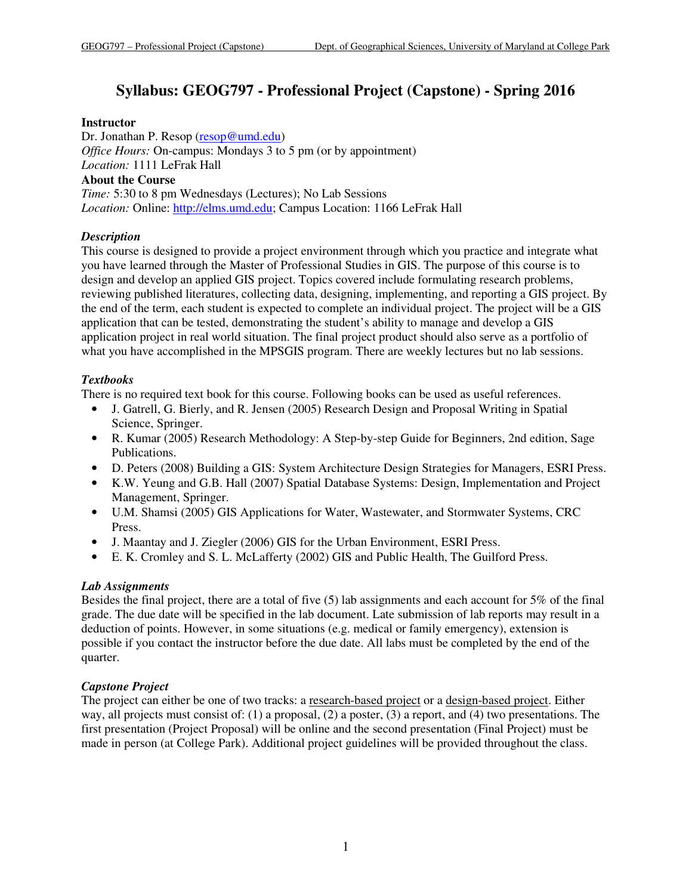# **Syllabus: GEOG797 - Professional Project (Capstone) - Spring 2016**

## **Instructor**

Dr. Jonathan P. Resop (resop@umd.edu) *Office Hours:* On-campus: Mondays 3 to 5 pm (or by appointment) *Location:* 1111 LeFrak Hall **About the Course** *Time:* 5:30 to 8 pm Wednesdays (Lectures); No Lab Sessions *Location:* Online: http://elms.umd.edu; Campus Location: 1166 LeFrak Hall

# *Description*

This course is designed to provide a project environment through which you practice and integrate what you have learned through the Master of Professional Studies in GIS. The purpose of this course is to design and develop an applied GIS project. Topics covered include formulating research problems, reviewing published literatures, collecting data, designing, implementing, and reporting a GIS project. By the end of the term, each student is expected to complete an individual project. The project will be a GIS application that can be tested, demonstrating the student's ability to manage and develop a GIS application project in real world situation. The final project product should also serve as a portfolio of what you have accomplished in the MPSGIS program. There are weekly lectures but no lab sessions.

# *Textbooks*

There is no required text book for this course. Following books can be used as useful references.

- J. Gatrell, G. Bierly, and R. Jensen (2005) Research Design and Proposal Writing in Spatial Science, Springer.
- R. Kumar (2005) Research Methodology: A Step-by-step Guide for Beginners, 2nd edition, Sage Publications.
- D. Peters (2008) Building a GIS: System Architecture Design Strategies for Managers, ESRI Press.
- K.W. Yeung and G.B. Hall (2007) Spatial Database Systems: Design, Implementation and Project Management, Springer.
- U.M. Shamsi (2005) GIS Applications for Water, Wastewater, and Stormwater Systems, CRC Press.
- J. Maantay and J. Ziegler (2006) GIS for the Urban Environment, ESRI Press.
- E. K. Cromley and S. L. McLafferty (2002) GIS and Public Health, The Guilford Press.

# *Lab Assignments*

Besides the final project, there are a total of five (5) lab assignments and each account for 5% of the final grade. The due date will be specified in the lab document. Late submission of lab reports may result in a deduction of points. However, in some situations (e.g. medical or family emergency), extension is possible if you contact the instructor before the due date. All labs must be completed by the end of the quarter.

# *Capstone Project*

The project can either be one of two tracks: a <u>research-based project</u> or a design-based project. Either way, all projects must consist of: (1) a proposal, (2) a poster, (3) a report, and (4) two presentations. The first presentation (Project Proposal) will be online and the second presentation (Final Project) must be made in person (at College Park). Additional project guidelines will be provided throughout the class.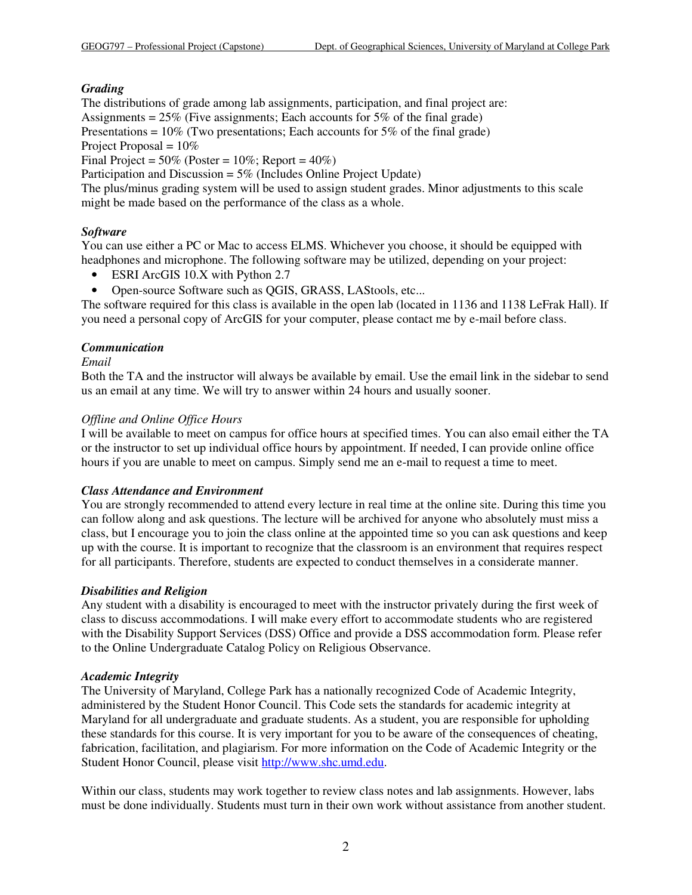## *Grading*

The distributions of grade among lab assignments, participation, and final project are: Assignments =  $25\%$  (Five assignments; Each accounts for  $5\%$  of the final grade) Presentations =  $10\%$  (Two presentations; Each accounts for 5% of the final grade)

Project Proposal =  $10\%$ 

Final Project =  $50\%$  (Poster =  $10\%$ ; Report =  $40\%$ )

Participation and Discussion = 5% (Includes Online Project Update)

The plus/minus grading system will be used to assign student grades. Minor adjustments to this scale might be made based on the performance of the class as a whole.

## *Software*

You can use either a PC or Mac to access ELMS. Whichever you choose, it should be equipped with headphones and microphone. The following software may be utilized, depending on your project:

- ESRI ArcGIS 10.X with Python 2.7
- Open-source Software such as QGIS, GRASS, LAStools, etc...

The software required for this class is available in the open lab (located in 1136 and 1138 LeFrak Hall). If you need a personal copy of ArcGIS for your computer, please contact me by e-mail before class.

## *Communication*

## *Email*

Both the TA and the instructor will always be available by email. Use the email link in the sidebar to send us an email at any time. We will try to answer within 24 hours and usually sooner.

#### *Offline and Online Office Hours*

I will be available to meet on campus for office hours at specified times. You can also email either the TA or the instructor to set up individual office hours by appointment. If needed, I can provide online office hours if you are unable to meet on campus. Simply send me an e-mail to request a time to meet.

## *Class Attendance and Environment*

You are strongly recommended to attend every lecture in real time at the online site. During this time you can follow along and ask questions. The lecture will be archived for anyone who absolutely must miss a class, but I encourage you to join the class online at the appointed time so you can ask questions and keep up with the course. It is important to recognize that the classroom is an environment that requires respect for all participants. Therefore, students are expected to conduct themselves in a considerate manner.

## *Disabilities and Religion*

Any student with a disability is encouraged to meet with the instructor privately during the first week of class to discuss accommodations. I will make every effort to accommodate students who are registered with the Disability Support Services (DSS) Office and provide a DSS accommodation form. Please refer to the Online Undergraduate Catalog Policy on Religious Observance.

#### *Academic Integrity*

The University of Maryland, College Park has a nationally recognized Code of Academic Integrity, administered by the Student Honor Council. This Code sets the standards for academic integrity at Maryland for all undergraduate and graduate students. As a student, you are responsible for upholding these standards for this course. It is very important for you to be aware of the consequences of cheating, fabrication, facilitation, and plagiarism. For more information on the Code of Academic Integrity or the Student Honor Council, please visit http://www.shc.umd.edu.

Within our class, students may work together to review class notes and lab assignments. However, labs must be done individually. Students must turn in their own work without assistance from another student.